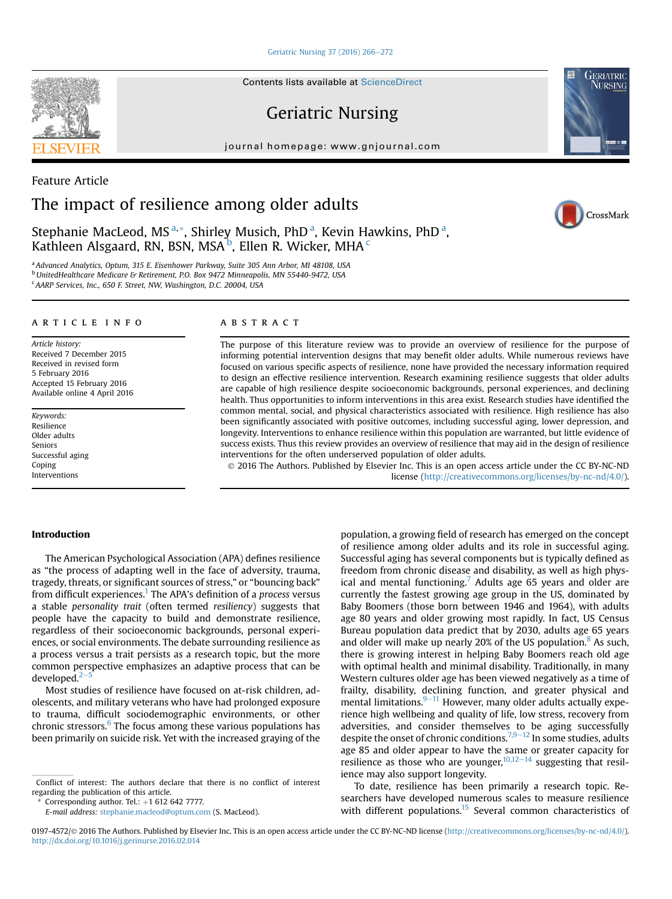#### [Geriatric Nursing 37 \(2016\) 266](http://dx.doi.org/10.1016/j.gerinurse.2016.02.014)-[272](http://dx.doi.org/10.1016/j.gerinurse.2016.02.014)

Contents lists available at ScienceDirect

## Geriatric Nursing

journal homepage: [www.gnjournal.com](http://www.gnjournal.com)



CrossMark

# Feature Article The impact of resilience among older adults

Stephanie MacLeod, MS<sup>a,\*</sup>, Shirley Musich, PhD<sup>a</sup>, Kevin Hawkins, PhD<sup>a</sup>, Kathleen Alsgaard, RN, BSN, MSA $^{\rm b}$ , Ellen R. Wicker, MHA  $^{\rm c}$ 

<sup>a</sup> Advanced Analytics, Optum, 315 E. Eisenhower Parkway, Suite 305 Ann Arbor, MI 48108, USA b<br>UnitedHealthcare Medicare & Retirement, P.O. Box 9472 Minneapolis, MN 55440-9472, USA

<sup>c</sup> AARP Services, Inc., 650 F. Street, NW, Washington, D.C. 20004, USA

### ARTICLE INFO

Article history: Received 7 December 2015 Received in revised form 5 February 2016 Accepted 15 February 2016 Available online 4 April 2016

Keywords: Resilience Older adults Seniors Successful aging Coping Interventions

#### ABSTRACT

The purpose of this literature review was to provide an overview of resilience for the purpose of informing potential intervention designs that may benefit older adults. While numerous reviews have focused on various specific aspects of resilience, none have provided the necessary information required to design an effective resilience intervention. Research examining resilience suggests that older adults are capable of high resilience despite socioeconomic backgrounds, personal experiences, and declining health. Thus opportunities to inform interventions in this area exist. Research studies have identified the common mental, social, and physical characteristics associated with resilience. High resilience has also been significantly associated with positive outcomes, including successful aging, lower depression, and longevity. Interventions to enhance resilience within this population are warranted, but little evidence of success exists. Thus this review provides an overview of resilience that may aid in the design of resilience interventions for the often underserved population of older adults.

 2016 The Authors. Published by Elsevier Inc. This is an open access article under the CC BY-NC-ND license [\(http://creativecommons.org/licenses/by-nc-nd/4.0/](http://creativecommons.org/licenses/by-nc-nd/4.0/)).

#### Introduction

The American Psychological Association (APA) defines resilience as "the process of adapting well in the face of adversity, trauma, tragedy, threats, or significant sources of stress," or "bouncing back" from difficult experiences.<sup>1</sup> The APA's definition of a *process* versus a stable personality trait (often termed resiliency) suggests that people have the capacity to build and demonstrate resilience, regardless of their socioeconomic backgrounds, personal experiences, or social environments. The debate surrounding resilience as a process versus a trait persists as a research topic, but the more common perspective emphasizes an adaptive process that can be developed. $2<sup>-</sup>$  $2<sup>-</sup>$ 

Most studies of resilience have focused on at-risk children, adolescents, and military veterans who have had prolonged exposure to trauma, difficult sociodemographic environments, or other chronic stressors. $6$  The focus among these various populations has been primarily on suicide risk. Yet with the increased graying of the

Corresponding author. Tel.:  $+1$  612 642 7777.

E-mail address: [stephanie.macleod@optum.com](mailto:stephanie.macleod@optum.com) (S. MacLeod).

population, a growing field of research has emerged on the concept of resilience among older adults and its role in successful aging. Successful aging has several components but is typically defined as freedom from chronic disease and disability, as well as high phys-ical and mental functioning.<sup>[7](#page-5-0)</sup> Adults age 65 years and older are currently the fastest growing age group in the US, dominated by Baby Boomers (those born between 1946 and 1964), with adults age 80 years and older growing most rapidly. In fact, US Census Bureau population data predict that by 2030, adults age 65 years and older will make up nearly 20% of the US population. $8$  As such, there is growing interest in helping Baby Boomers reach old age with optimal health and minimal disability. Traditionally, in many Western cultures older age has been viewed negatively as a time of frailty, disability, declining function, and greater physical and mental limitations. $9-11$  $9-11$  However, many older adults actually experience high wellbeing and quality of life, low stress, recovery from adversities, and consider themselves to be aging successfully despite the onset of chronic conditions.<sup>[7,9](#page-5-0)–[12](#page-5-0)</sup> In some studies, adults age 85 and older appear to have the same or greater capacity for resilience as those who are younger,  $10,12-14$  $10,12-14$  $10,12-14$  suggesting that resilience may also support longevity.

To date, resilience has been primarily a research topic. Researchers have developed numerous scales to measure resilience with different populations.<sup>15</sup> Several common characteristics of



Conflict of interest: The authors declare that there is no conflict of interest regarding the publication of this article.

<sup>0197-4572/© 2016</sup> The Authors. Published by Elsevier Inc. This is an open access article under the CC BY-NC-ND license ([http://creativecommons.org/licenses/by-nc-nd/4.0/\)](http://creativecommons.org/licenses/by-nc-nd/4.0/). <http://dx.doi.org/10.1016/j.gerinurse.2016.02.014>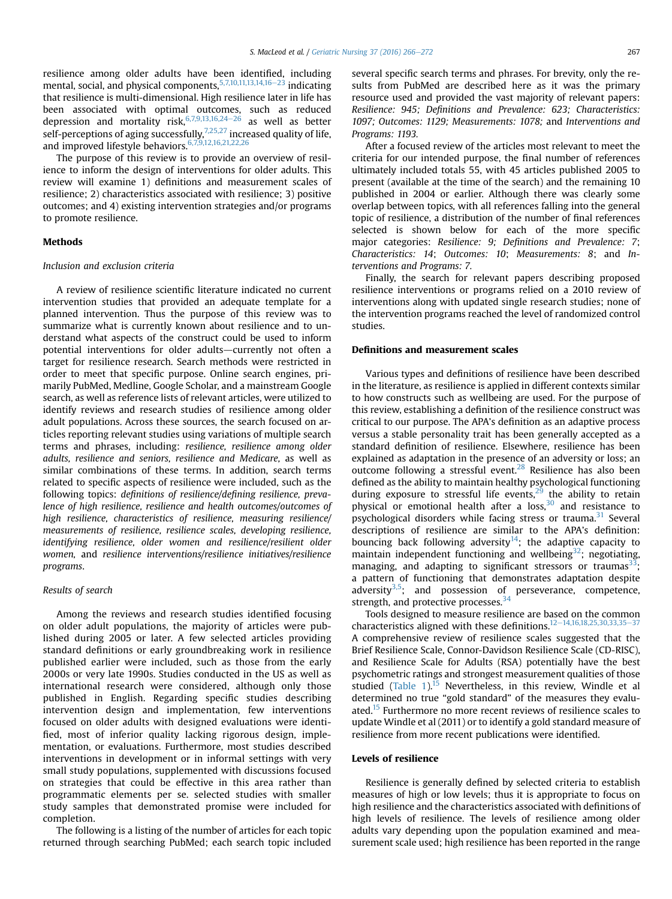resilience among older adults have been identified, including mental, social, and physical components,  $5,7,10,11,13,14,16-23$  $5,7,10,11,13,14,16-23$  $5,7,10,11,13,14,16-23$  indicating that resilience is multi-dimensional. High resilience later in life has been associated with optimal outcomes, such as reduced depression and mortality risk,  $6,7,9,13,16,24-26$  $6,7,9,13,16,24-26$  $6,7,9,13,16,24-26$  as well as better self-perceptions of aging successfully,  $7,25,27$  increased quality of life, and improved lifestyle behaviors.[6,7,9,12,16,21,22,26](#page-5-0)

The purpose of this review is to provide an overview of resilience to inform the design of interventions for older adults. This review will examine 1) definitions and measurement scales of resilience; 2) characteristics associated with resilience; 3) positive outcomes; and 4) existing intervention strategies and/or programs to promote resilience.

#### Methods

#### Inclusion and exclusion criteria

A review of resilience scientific literature indicated no current intervention studies that provided an adequate template for a planned intervention. Thus the purpose of this review was to summarize what is currently known about resilience and to understand what aspects of the construct could be used to inform potential interventions for older adults-currently not often a target for resilience research. Search methods were restricted in order to meet that specific purpose. Online search engines, primarily PubMed, Medline, Google Scholar, and a mainstream Google search, as well as reference lists of relevant articles, were utilized to identify reviews and research studies of resilience among older adult populations. Across these sources, the search focused on articles reporting relevant studies using variations of multiple search terms and phrases, including: resilience, resilience among older adults, resilience and seniors, resilience and Medicare, as well as similar combinations of these terms. In addition, search terms related to specific aspects of resilience were included, such as the following topics: definitions of resilience/defining resilience, prevalence of high resilience, resilience and health outcomes/outcomes of high resilience, characteristics of resilience, measuring resilience/ measurements of resilience, resilience scales, developing resilience, identifying resilience, older women and resilience/resilient older women, and resilience interventions/resilience initiatives/resilience programs.

#### Results of search

Among the reviews and research studies identified focusing on older adult populations, the majority of articles were published during 2005 or later. A few selected articles providing standard definitions or early groundbreaking work in resilience published earlier were included, such as those from the early 2000s or very late 1990s. Studies conducted in the US as well as international research were considered, although only those published in English. Regarding specific studies describing intervention design and implementation, few interventions focused on older adults with designed evaluations were identified, most of inferior quality lacking rigorous design, implementation, or evaluations. Furthermore, most studies described interventions in development or in informal settings with very small study populations, supplemented with discussions focused on strategies that could be effective in this area rather than programmatic elements per se. selected studies with smaller study samples that demonstrated promise were included for completion.

The following is a listing of the number of articles for each topic returned through searching PubMed; each search topic included several specific search terms and phrases. For brevity, only the results from PubMed are described here as it was the primary resource used and provided the vast majority of relevant papers: Resilience: 945; Definitions and Prevalence: 623; Characteristics: 1097; Outcomes: 1129; Measurements: 1078; and Interventions and Programs: 1193.

After a focused review of the articles most relevant to meet the criteria for our intended purpose, the final number of references ultimately included totals 55, with 45 articles published 2005 to present (available at the time of the search) and the remaining 10 published in 2004 or earlier. Although there was clearly some overlap between topics, with all references falling into the general topic of resilience, a distribution of the number of final references selected is shown below for each of the more specific major categories: Resilience: 9; Definitions and Prevalence: 7; Characteristics: 14; Outcomes: 10; Measurements: 8; and Interventions and Programs: 7.

Finally, the search for relevant papers describing proposed resilience interventions or programs relied on a 2010 review of interventions along with updated single research studies; none of the intervention programs reached the level of randomized control studies.

#### Definitions and measurement scales

Various types and definitions of resilience have been described in the literature, as resilience is applied in different contexts similar to how constructs such as wellbeing are used. For the purpose of this review, establishing a definition of the resilience construct was critical to our purpose. The APA's definition as an adaptive process versus a stable personality trait has been generally accepted as a standard definition of resilience. Elsewhere, resilience has been explained as adaptation in the presence of an adversity or loss; an outcome following a stressful event.<sup>[28](#page-6-0)</sup> Resilience has also been defined as the ability to maintain healthy psychological functioning during exposure to stressful life events, $29$  the ability to retain physical or emotional health after a loss, $30$  and resistance to psychological disorders while facing stress or trauma.<sup>[31](#page-6-0)</sup> Several descriptions of resilience are similar to the APA's definition: bouncing back following adversity<sup>[14](#page-6-0)</sup>; the adaptive capacity to maintain independent functioning and wellbeing<sup>32</sup>; negotiating, managing, and adapting to significant stressors or traumas<sup>33</sup>; a pattern of functioning that demonstrates adaptation despite adversity $3.5$ ; and possession of perseverance, competence, strength, and protective processes.<sup>[34](#page-6-0)</sup>

Tools designed to measure resilience are based on the common characteristics aligned with these definitions.<sup>[12](#page-6-0)-[14,16,18,25,30,33,35](#page-6-0)-[37](#page-6-0)</sup> A comprehensive review of resilience scales suggested that the Brief Resilience Scale, Connor-Davidson Resilience Scale (CD-RISC), and Resilience Scale for Adults (RSA) potentially have the best psychometric ratings and strongest measurement qualities of those studied (Table  $1$ ).<sup>[15](#page-6-0)</sup> Nevertheless, in this review, Windle et al determined no true "gold standard" of the measures they evalu-ated.<sup>[15](#page-6-0)</sup> Furthermore no more recent reviews of resilience scales to update Windle et al (2011) or to identify a gold standard measure of resilience from more recent publications were identified.

#### Levels of resilience

Resilience is generally defined by selected criteria to establish measures of high or low levels; thus it is appropriate to focus on high resilience and the characteristics associated with definitions of high levels of resilience. The levels of resilience among older adults vary depending upon the population examined and measurement scale used; high resilience has been reported in the range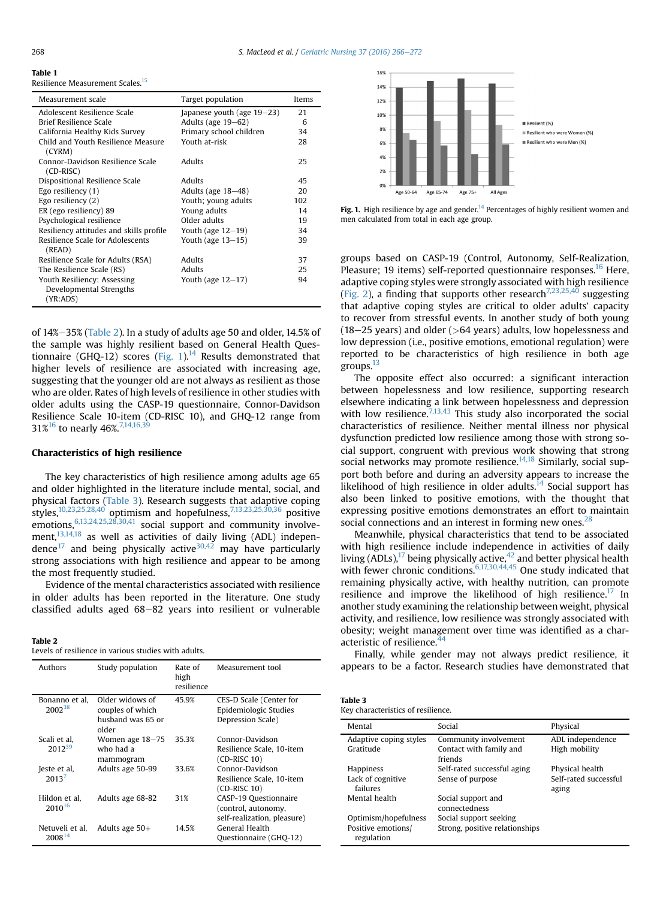<span id="page-2-0"></span>

| v      | I      |
|--------|--------|
| $\sim$ | $\sim$ |

#### Table 1

Resilience Measurement Scales[.15](#page-6-0)

| Measurement scale                                                  | Target population             | Items |
|--------------------------------------------------------------------|-------------------------------|-------|
| Adolescent Resilience Scale                                        | Japanese youth (age $19-23$ ) | 21    |
| Brief Resilience Scale                                             | Adults (age $19-62$ )         | 6     |
| California Healthy Kids Survey                                     | Primary school children       | 34    |
| Child and Youth Resilience Measure<br>(CYRM)                       | Youth at-risk                 | 28    |
| Connor-Davidson Resilience Scale<br>$(CD-RISC)$                    | Adults                        | 25    |
| Dispositional Resilience Scale                                     | Adults                        | 45    |
| Ego resiliency $(1)$                                               | Adults (age $18-48$ )         | 20    |
| Ego resiliency $(2)$                                               | Youth; young adults           | 102   |
| ER (ego resiliency) 89                                             | Young adults                  | 14    |
| Psychological resilience                                           | Older adults                  | 19    |
| Resiliency attitudes and skills profile                            | Youth (age $12-19$ )          | 34    |
| Resilience Scale for Adolescents<br>(READ)                         | Youth (age $13-15$ )          | 39    |
| Resilience Scale for Adults (RSA)                                  | Adults                        | 37    |
| The Resilience Scale (RS)                                          | Adults                        | 25    |
| Youth Resiliency: Assessing<br>Developmental Strengths<br>(YR:ADS) | Youth (age $12-17$ )          | 94    |

of  $14\% - 35\%$  (Table 2). In a study of adults age 50 and older,  $14.5\%$  of the sample was highly resilient based on General Health Questionnaire (GHQ-12) scores (Fig. 1).<sup>14</sup> Results demonstrated that higher levels of resilience are associated with increasing age, suggesting that the younger old are not always as resilient as those who are older. Rates of high levels of resilience in other studies with older adults using the CASP-19 questionnaire, Connor-Davidson Resilience Scale 10-item (CD-RISC 10), and GHQ-12 range from 31%<sup>[16](#page-6-0)</sup> to nearly 46%<sup>7,14,16,3</sup>

#### Characteristics of high resilience

The key characteristics of high resilience among adults age 65 and older highlighted in the literature include mental, social, and physical factors (Table 3). Research suggests that adaptive coping styles,[10,23,25,28,40](#page-6-0) optimism and hopefulness[,7,13,23,25,30,36](#page-5-0) positive emotions, <sup>[6,13,24,25,28,30,41](#page-5-0)</sup> social support and community involvement,<sup>13,14,18</sup> as well as activities of daily living (ADL) independence $^{17}$  $^{17}$  $^{17}$  and being physically active $^{30,42}$  $^{30,42}$  $^{30,42}$  may have particularly strong associations with high resilience and appear to be among the most frequently studied.

Evidence of the mental characteristics associated with resilience in older adults has been reported in the literature. One study classified adults aged  $68-82$  years into resilient or vulnerable

| Table 2                                              |  |  |  |
|------------------------------------------------------|--|--|--|
| Levels of resilience in various studies with adults. |  |  |  |

| Authors                               | Study population                                                  | Rate of<br>high<br>resilience | Measurement tool                                                            |
|---------------------------------------|-------------------------------------------------------------------|-------------------------------|-----------------------------------------------------------------------------|
| Bonanno et al.<br>2002 <sup>38</sup>  | Older widows of<br>couples of which<br>husband was 65 or<br>older | 45.9%                         | CES-D Scale (Center for<br>Epidemiologic Studies<br>Depression Scale)       |
| Scali et al.<br>2012 <sup>39</sup>    | Women age 18-75<br>who had a<br>mammogram                         | 35.3%                         | Connor-Davidson<br>Resilience Scale, 10-item<br>$(CD-RISC 10)$              |
| Jeste et al,<br>20137                 | Adults age 50-99                                                  | 33.6%                         | Connor-Davidson<br>Resilience Scale, 10-item<br>$(CD-RISC 10)$              |
| Hildon et al.<br>$2010^{16}$          | Adults age 68-82                                                  | 31%                           | CASP-19 Questionnaire<br>(control, autonomy,<br>self-realization, pleasure) |
| Netuveli et al,<br>2008 <sup>14</sup> | Adults age $50+$                                                  | 14.5%                         | General Health<br>Questionnaire (GHQ-12)                                    |



Fig. 1. High resilience by age and gender.<sup>[14](#page-6-0)</sup> Percentages of highly resilient women and men calculated from total in each age group.

groups based on CASP-19 (Control, Autonomy, Self-Realization, Pleasure; 19 items) self-reported questionnaire responses.<sup>[16](#page-6-0)</sup> Here, adaptive coping styles were strongly associated with high resilience ([Fig. 2](#page-3-0)), a finding that supports other research<sup>[7,23,25,40](#page-5-0)</sup> suggesting that adaptive coping styles are critical to older adults' capacity to recover from stressful events. In another study of both young  $(18-25 \text{ years})$  and older ( $>64$  years) adults, low hopelessness and low depression (i.e., positive emotions, emotional regulation) were reported to be characteristics of high resilience in both age groups. $^{13}$ 

The opposite effect also occurred: a significant interaction between hopelessness and low resilience, supporting research elsewhere indicating a link between hopelessness and depression with low resilience.<sup>[7,13,43](#page-5-0)</sup> This study also incorporated the social characteristics of resilience. Neither mental illness nor physical dysfunction predicted low resilience among those with strong social support, congruent with previous work showing that strong social networks may promote resilience. $14,18$  Similarly, social support both before and during an adversity appears to increase the likelihood of high resilience in older adults. $14$  Social support has also been linked to positive emotions, with the thought that expressing positive emotions demonstrates an effort to maintain social connections and an interest in forming new ones.<sup>2</sup>

Meanwhile, physical characteristics that tend to be associated with high resilience include independence in activities of daily living (ADLs),<sup>[17](#page-6-0)</sup> being physically active,<sup>[42](#page-6-0)</sup> and better physical health with fewer chronic conditions.<sup>[6,17,30,44,45](#page-5-0)</sup> One study indicated that remaining physically active, with healthy nutrition, can promote resilience and improve the likelihood of high resilience.<sup>[17](#page-6-0)</sup> In another study examining the relationship between weight, physical activity, and resilience, low resilience was strongly associated with obesity; weight management over time was identified as a char-acteristic of resilience.<sup>[44](#page-6-0)</sup>

Finally, while gender may not always predict resilience, it appears to be a factor. Research studies have demonstrated that

| Table 3                            |  |
|------------------------------------|--|
| Key characteristics of resilience. |  |

| Mental                           | Social                              | Physical                       |
|----------------------------------|-------------------------------------|--------------------------------|
| Adaptive coping styles           | Community involvement               | ADL independence               |
| Gratitude                        | Contact with family and<br>friends  | High mobility                  |
| Happiness                        | Self-rated successful aging         | Physical health                |
| Lack of cognitive<br>failures    | Sense of purpose                    | Self-rated successful<br>aging |
| Mental health                    | Social support and<br>connectedness |                                |
| Optimism/hopefulness             | Social support seeking              |                                |
| Positive emotions/<br>regulation | Strong, positive relationships      |                                |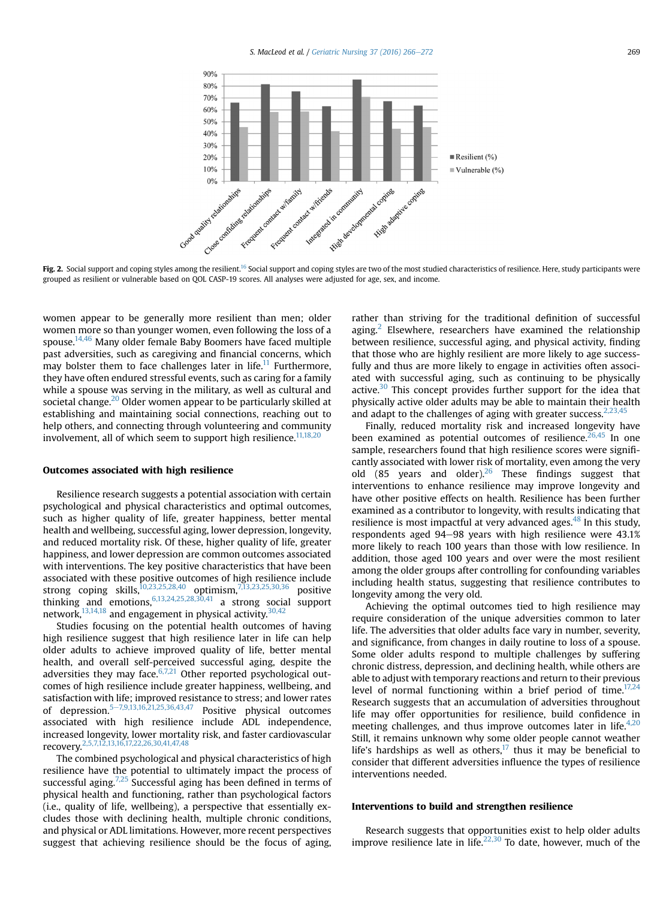<span id="page-3-0"></span>

Fig. 2. Social support and coping styles among the resilient.<sup>[16](#page-6-0)</sup> Social support and coping styles are two of the most studied characteristics of resilience. Here, study participants were grouped as resilient or vulnerable based on QOL CASP-19 scores. All analyses were adjusted for age, sex, and income.

women appear to be generally more resilient than men; older women more so than younger women, even following the loss of a spouse. $14,46$  Many older female Baby Boomers have faced multiple past adversities, such as caregiving and financial concerns, which may bolster them to face challenges later in life.<sup>11</sup> Furthermore, they have often endured stressful events, such as caring for a family while a spouse was serving in the military, as well as cultural and societal change.<sup>[20](#page-6-0)</sup> Older women appear to be particularly skilled at establishing and maintaining social connections, reaching out to help others, and connecting through volunteering and community involvement, all of which seem to support high resilience.<sup>[11,18,20](#page-6-0)</sup>

#### Outcomes associated with high resilience

Resilience research suggests a potential association with certain psychological and physical characteristics and optimal outcomes, such as higher quality of life, greater happiness, better mental health and wellbeing, successful aging, lower depression, longevity, and reduced mortality risk. Of these, higher quality of life, greater happiness, and lower depression are common outcomes associated with interventions. The key positive characteristics that have been associated with these positive outcomes of high resilience include strong coping skills, $10,23,25,28,40$  optimism, $7,13,23,25,30,36$  positive thinking and emotions,  $6,13,24,25,28,30,41$  a strong social support network, $13,14,18$  and engagement in physical activity. $30,42$ 

Studies focusing on the potential health outcomes of having high resilience suggest that high resilience later in life can help older adults to achieve improved quality of life, better mental health, and overall self-perceived successful aging, despite the adversities they may face. $6,7,21$  Other reported psychological outcomes of high resilience include greater happiness, wellbeing, and satisfaction with life; improved resistance to stress; and lower rates of depression.<sup>[5](#page-5-0)-[7,9,13,16,21,25,36,43,47](#page-5-0)</sup> Positive physical outcomes associated with high resilience include ADL independence, increased longevity, lower mortality risk, and faster cardiovascular recovery.[2,5,7,12,13,16,17,22,26,30,41,47,48](#page-5-0)

The combined psychological and physical characteristics of high resilience have the potential to ultimately impact the process of successful aging.<sup>7,25</sup> Successful aging has been defined in terms of physical health and functioning, rather than psychological factors (i.e., quality of life, wellbeing), a perspective that essentially excludes those with declining health, multiple chronic conditions, and physical or ADL limitations. However, more recent perspectives suggest that achieving resilience should be the focus of aging,

rather than striving for the traditional definition of successful aging.<sup>[2](#page-5-0)</sup> Elsewhere, researchers have examined the relationship between resilience, successful aging, and physical activity, finding that those who are highly resilient are more likely to age successfully and thus are more likely to engage in activities often associated with successful aging, such as continuing to be physically active. $30$  This concept provides further support for the idea that physically active older adults may be able to maintain their health and adapt to the challenges of aging with greater success.  $2,23,45$ 

Finally, reduced mortality risk and increased longevity have been examined as potential outcomes of resilience.<sup>[26,45](#page-6-0)</sup> In one sample, researchers found that high resilience scores were significantly associated with lower risk of mortality, even among the very old (85 years and older).<sup>[26](#page-6-0)</sup> These findings suggest that interventions to enhance resilience may improve longevity and have other positive effects on health. Resilience has been further examined as a contributor to longevity, with results indicating that resilience is most impactful at very advanced ages.<sup>[48](#page-6-0)</sup> In this study, respondents aged 94-98 years with high resilience were 43.1% more likely to reach 100 years than those with low resilience. In addition, those aged 100 years and over were the most resilient among the older groups after controlling for confounding variables including health status, suggesting that resilience contributes to longevity among the very old.

Achieving the optimal outcomes tied to high resilience may require consideration of the unique adversities common to later life. The adversities that older adults face vary in number, severity, and significance, from changes in daily routine to loss of a spouse. Some older adults respond to multiple challenges by suffering chronic distress, depression, and declining health, while others are able to adjust with temporary reactions and return to their previous level of normal functioning within a brief period of time.<sup>17,24</sup> Research suggests that an accumulation of adversities throughout life may offer opportunities for resilience, build confidence in meeting challenges, and thus improve outcomes later in life.<sup>[4,20](#page-5-0)</sup> Still, it remains unknown why some older people cannot weather life's hardships as well as others, $17$  thus it may be beneficial to consider that different adversities influence the types of resilience interventions needed.

#### Interventions to build and strengthen resilience

Research suggests that opportunities exist to help older adults improve resilience late in life. $22,30$  To date, however, much of the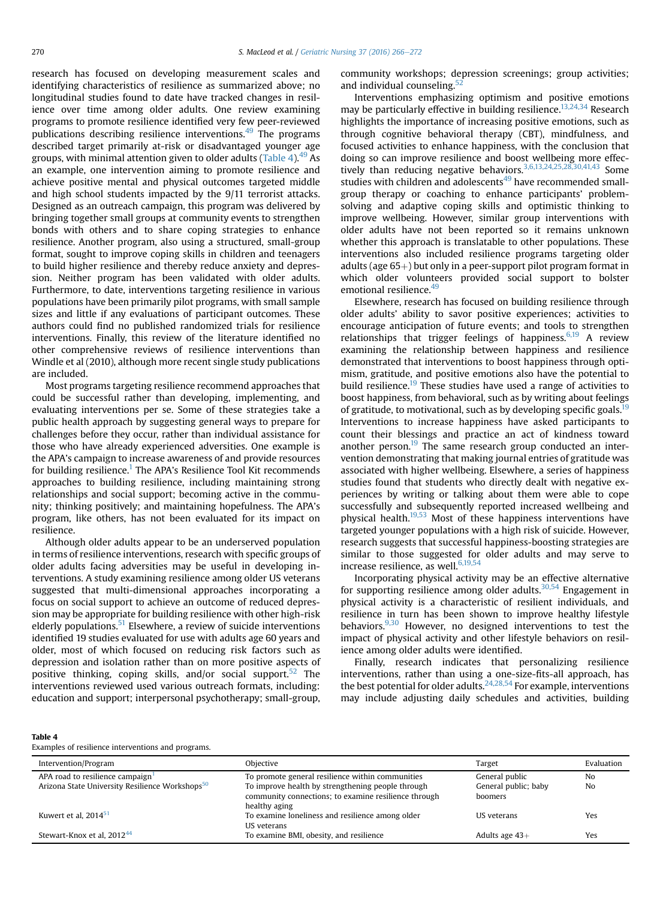<span id="page-4-0"></span>research has focused on developing measurement scales and identifying characteristics of resilience as summarized above; no longitudinal studies found to date have tracked changes in resilience over time among older adults. One review examining programs to promote resilience identified very few peer-reviewed publications describing resilience interventions. $49$  The programs described target primarily at-risk or disadvantaged younger age groups, with minimal attention given to older adults (Table 4).  $49\text{ As}$  $49\text{ As}$ an example, one intervention aiming to promote resilience and achieve positive mental and physical outcomes targeted middle and high school students impacted by the 9/11 terrorist attacks. Designed as an outreach campaign, this program was delivered by bringing together small groups at community events to strengthen bonds with others and to share coping strategies to enhance resilience. Another program, also using a structured, small-group format, sought to improve coping skills in children and teenagers to build higher resilience and thereby reduce anxiety and depression. Neither program has been validated with older adults. Furthermore, to date, interventions targeting resilience in various populations have been primarily pilot programs, with small sample sizes and little if any evaluations of participant outcomes. These authors could find no published randomized trials for resilience interventions. Finally, this review of the literature identified no other comprehensive reviews of resilience interventions than Windle et al (2010), although more recent single study publications are included.

Most programs targeting resilience recommend approaches that could be successful rather than developing, implementing, and evaluating interventions per se. Some of these strategies take a public health approach by suggesting general ways to prepare for challenges before they occur, rather than individual assistance for those who have already experienced adversities. One example is the APA's campaign to increase awareness of and provide resources for building resilience.<sup>[1](#page-5-0)</sup> The APA's Resilience Tool Kit recommends approaches to building resilience, including maintaining strong relationships and social support; becoming active in the community; thinking positively; and maintaining hopefulness. The APA's program, like others, has not been evaluated for its impact on resilience.

Although older adults appear to be an underserved population in terms of resilience interventions, research with specific groups of older adults facing adversities may be useful in developing interventions. A study examining resilience among older US veterans suggested that multi-dimensional approaches incorporating a focus on social support to achieve an outcome of reduced depression may be appropriate for building resilience with other high-risk elderly populations.<sup>[51](#page-6-0)</sup> Elsewhere, a review of suicide interventions identified 19 studies evaluated for use with adults age 60 years and older, most of which focused on reducing risk factors such as depression and isolation rather than on more positive aspects of positive thinking, coping skills, and/or social support.<sup>[52](#page-6-0)</sup> The interventions reviewed used various outreach formats, including: education and support; interpersonal psychotherapy; small-group,

community workshops; depression screenings; group activities; and individual counseling.<sup>5</sup>

Interventions emphasizing optimism and positive emotions may be particularly effective in building resilience.<sup>13,24,34</sup> Research highlights the importance of increasing positive emotions, such as through cognitive behavioral therapy (CBT), mindfulness, and focused activities to enhance happiness, with the conclusion that doing so can improve resilience and boost wellbeing more effec-tively than reducing negative behaviors.<sup>[3,6,13,24,25,28,30,41,43](#page-5-0)</sup> Some studies with children and adolescents<sup>49</sup> have recommended smallgroup therapy or coaching to enhance participants' problemsolving and adaptive coping skills and optimistic thinking to improve wellbeing. However, similar group interventions with older adults have not been reported so it remains unknown whether this approach is translatable to other populations. These interventions also included resilience programs targeting older adults (age  $65+)$  but only in a peer-support pilot program format in which older volunteers provided social support to bolster emotional resilience.<sup>49</sup>

Elsewhere, research has focused on building resilience through older adults' ability to savor positive experiences; activities to encourage anticipation of future events; and tools to strengthen relationships that trigger feelings of happiness. $6,19$  A review examining the relationship between happiness and resilience demonstrated that interventions to boost happiness through optimism, gratitude, and positive emotions also have the potential to build resilience.<sup>[19](#page-6-0)</sup> These studies have used a range of activities to boost happiness, from behavioral, such as by writing about feelings of gratitude, to motivational, such as by developing specific goals.<sup>19</sup> Interventions to increase happiness have asked participants to count their blessings and practice an act of kindness toward another person.<sup>[19](#page-6-0)</sup> The same research group conducted an intervention demonstrating that making journal entries of gratitude was associated with higher wellbeing. Elsewhere, a series of happiness studies found that students who directly dealt with negative experiences by writing or talking about them were able to cope successfully and subsequently reported increased wellbeing and physical health[.19,53](#page-6-0) Most of these happiness interventions have targeted younger populations with a high risk of suicide. However, research suggests that successful happiness-boosting strategies are similar to those suggested for older adults and may serve to increase resilience, as well. $6,19,54$ 

Incorporating physical activity may be an effective alternative for supporting resilience among older adults.<sup>30,54</sup> Engagement in physical activity is a characteristic of resilient individuals, and resilience in turn has been shown to improve healthy lifestyle behaviors. $9,30$  However, no designed interventions to test the impact of physical activity and other lifestyle behaviors on resilience among older adults were identified.

Finally, research indicates that personalizing resilience interventions, rather than using a one-size-fits-all approach, has the best potential for older adults.<sup>24,28,54</sup> For example, interventions may include adjusting daily schedules and activities, building

#### Table 4

Examples of resilience interventions and programs.

| Intervention/Program                                        | Obiective                                                                                                                  | Target                          | Evaluation |
|-------------------------------------------------------------|----------------------------------------------------------------------------------------------------------------------------|---------------------------------|------------|
| APA road to resilience campaign <sup>1</sup>                | To promote general resilience within communities                                                                           | General public                  | No         |
| Arizona State University Resilience Workshops <sup>50</sup> | To improve health by strengthening people through<br>community connections; to examine resilience through<br>healthy aging | General public; baby<br>boomers | No         |
| Kuwert et al, $2014^{51}$                                   | To examine loneliness and resilience among older<br>US veterans                                                            | US veterans                     | Yes        |
| Stewart-Knox et al, 2012 <sup>44</sup>                      | To examine BMI, obesity, and resilience                                                                                    | Adults age $43+$                | Yes        |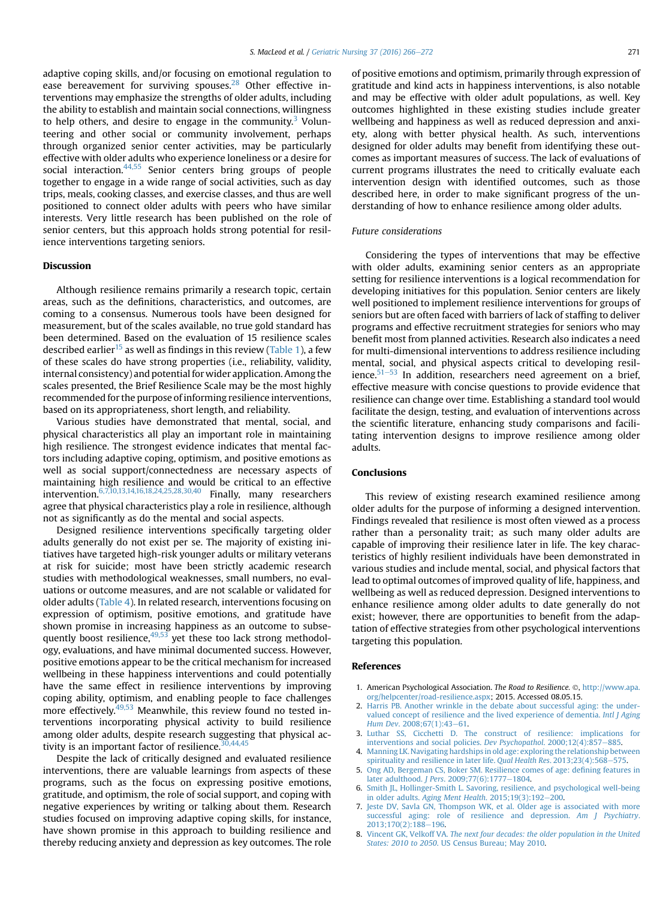<span id="page-5-0"></span>adaptive coping skills, and/or focusing on emotional regulation to ease bereavement for surviving spouses.<sup>[28](#page-6-0)</sup> Other effective interventions may emphasize the strengths of older adults, including the ability to establish and maintain social connections, willingness to help others, and desire to engage in the community.<sup>3</sup> Volunteering and other social or community involvement, perhaps through organized senior center activities, may be particularly effective with older adults who experience loneliness or a desire for social interaction. $44,55$  Senior centers bring groups of people together to engage in a wide range of social activities, such as day trips, meals, cooking classes, and exercise classes, and thus are well positioned to connect older adults with peers who have similar interests. Very little research has been published on the role of senior centers, but this approach holds strong potential for resilience interventions targeting seniors.

#### Discussion

Although resilience remains primarily a research topic, certain areas, such as the definitions, characteristics, and outcomes, are coming to a consensus. Numerous tools have been designed for measurement, but of the scales available, no true gold standard has been determined. Based on the evaluation of 15 resilience scales described earlier<sup>[15](#page-6-0)</sup> as well as findings in this review ([Table 1](#page-2-0)), a few of these scales do have strong properties (i.e., reliability, validity, internal consistency) and potential for wider application. Among the scales presented, the Brief Resilience Scale may be the most highly recommended for the purpose of informing resilience interventions, based on its appropriateness, short length, and reliability.

Various studies have demonstrated that mental, social, and physical characteristics all play an important role in maintaining high resilience. The strongest evidence indicates that mental factors including adaptive coping, optimism, and positive emotions as well as social support/connectedness are necessary aspects of maintaining high resilience and would be critical to an effective intervention.  $6,7,10,13,14,16,18,24,25,28,30,40$  Finally, many researchers agree that physical characteristics play a role in resilience, although not as significantly as do the mental and social aspects.

Designed resilience interventions specifically targeting older adults generally do not exist per se. The majority of existing initiatives have targeted high-risk younger adults or military veterans at risk for suicide; most have been strictly academic research studies with methodological weaknesses, small numbers, no evaluations or outcome measures, and are not scalable or validated for older adults ([Table 4](#page-4-0)). In related research, interventions focusing on expression of optimism, positive emotions, and gratitude have shown promise in increasing happiness as an outcome to subsequently boost resilience,  $49,53$  yet these too lack strong methodology, evaluations, and have minimal documented success. However, positive emotions appear to be the critical mechanism for increased wellbeing in these happiness interventions and could potentially have the same effect in resilience interventions by improving coping ability, optimism, and enabling people to face challenges more effectively.<sup>[49,53](#page-6-0)</sup> Meanwhile, this review found no tested interventions incorporating physical activity to build resilience among older adults, despite research suggesting that physical activity is an important factor of resilience. $30,44,45$ 

Despite the lack of critically designed and evaluated resilience interventions, there are valuable learnings from aspects of these programs, such as the focus on expressing positive emotions, gratitude, and optimism, the role of social support, and coping with negative experiences by writing or talking about them. Research studies focused on improving adaptive coping skills, for instance, have shown promise in this approach to building resilience and thereby reducing anxiety and depression as key outcomes. The role

of positive emotions and optimism, primarily through expression of gratitude and kind acts in happiness interventions, is also notable and may be effective with older adult populations, as well. Key outcomes highlighted in these existing studies include greater wellbeing and happiness as well as reduced depression and anxiety, along with better physical health. As such, interventions designed for older adults may benefit from identifying these outcomes as important measures of success. The lack of evaluations of current programs illustrates the need to critically evaluate each intervention design with identified outcomes, such as those described here, in order to make significant progress of the understanding of how to enhance resilience among older adults.

#### Future considerations

Considering the types of interventions that may be effective with older adults, examining senior centers as an appropriate setting for resilience interventions is a logical recommendation for developing initiatives for this population. Senior centers are likely well positioned to implement resilience interventions for groups of seniors but are often faced with barriers of lack of staffing to deliver programs and effective recruitment strategies for seniors who may benefit most from planned activities. Research also indicates a need for multi-dimensional interventions to address resilience including mental, social, and physical aspects critical to developing resilience. $51-53$  $51-53$  $51-53$  In addition, researchers need agreement on a brief, effective measure with concise questions to provide evidence that resilience can change over time. Establishing a standard tool would facilitate the design, testing, and evaluation of interventions across the scientific literature, enhancing study comparisons and facilitating intervention designs to improve resilience among older adults.

#### **Conclusions**

This review of existing research examined resilience among older adults for the purpose of informing a designed intervention. Findings revealed that resilience is most often viewed as a process rather than a personality trait; as such many older adults are capable of improving their resilience later in life. The key characteristics of highly resilient individuals have been demonstrated in various studies and include mental, social, and physical factors that lead to optimal outcomes of improved quality of life, happiness, and wellbeing as well as reduced depression. Designed interventions to enhance resilience among older adults to date generally do not exist; however, there are opportunities to benefit from the adaptation of effective strategies from other psychological interventions targeting this population.

#### References

- 1. American Psychological Association. The Road to Resilience. ©, [http://www.apa.](http://www.apa.org/helpcenter/road-resilience.aspx) [org/helpcenter/road-resilience.aspx](http://www.apa.org/helpcenter/road-resilience.aspx); 2015. Accessed 08.05.15.
- 2. [Harris PB. Another wrinkle in the debate about successful aging: the under](http://refhub.elsevier.com/S0197-4572(16)00068-9/sref2)[valued concept of resilience and the lived experience of dementia.](http://refhub.elsevier.com/S0197-4572(16)00068-9/sref2) Intl J Aging Hum Dev[. 2008;67\(1\):43](http://refhub.elsevier.com/S0197-4572(16)00068-9/sref2)-[61.](http://refhub.elsevier.com/S0197-4572(16)00068-9/sref2)
- 3. [Luthar SS, Cicchetti D. The construct of resilience: implications for](http://refhub.elsevier.com/S0197-4572(16)00068-9/sref3) [interventions and social policies.](http://refhub.elsevier.com/S0197-4572(16)00068-9/sref3) Dev Psychopathol.  $2000;12(4):857-885$ .
- 4. [Manning LK. Navigating hardships in old age: exploring the relationship between](http://refhub.elsevier.com/S0197-4572(16)00068-9/sref4) [spirituality and resilience in later life.](http://refhub.elsevier.com/S0197-4572(16)00068-9/sref4) Qual Health Res. 2013;23(4):568-[575](http://refhub.elsevier.com/S0197-4572(16)00068-9/sref4).
- 5. [Ong AD, Bergeman CS, Boker SM. Resilience comes of age: de](http://refhub.elsevier.com/S0197-4572(16)00068-9/sref5)fining features in later adulthood. J Pers[. 2009;77\(6\):1777](http://refhub.elsevier.com/S0197-4572(16)00068-9/sref5)-[1804](http://refhub.elsevier.com/S0197-4572(16)00068-9/sref5).
- 6. [Smith JL, Hollinger-Smith L. Savoring, resilience, and psychological well-being](http://refhub.elsevier.com/S0197-4572(16)00068-9/sref6) in older adults. [Aging Ment Health](http://refhub.elsevier.com/S0197-4572(16)00068-9/sref6).  $2015;19(3):192-200$  $2015;19(3):192-200$ .
- 7. [Jeste DV, Savla GN, Thompson WK, et al. Older age is associated with more](http://refhub.elsevier.com/S0197-4572(16)00068-9/sref7) [successful aging: role of resilience and depression.](http://refhub.elsevier.com/S0197-4572(16)00068-9/sref7) Am J Psychiatry. [2013;170\(2\):188](http://refhub.elsevier.com/S0197-4572(16)00068-9/sref7)-[196.](http://refhub.elsevier.com/S0197-4572(16)00068-9/sref7)
- 8. Vincent GK, Velkoff VA. [The next four decades: the older population in the United](http://refhub.elsevier.com/S0197-4572(16)00068-9/sref8) States: 2010 to 2050[. US Census Bureau; May 2010](http://refhub.elsevier.com/S0197-4572(16)00068-9/sref8).